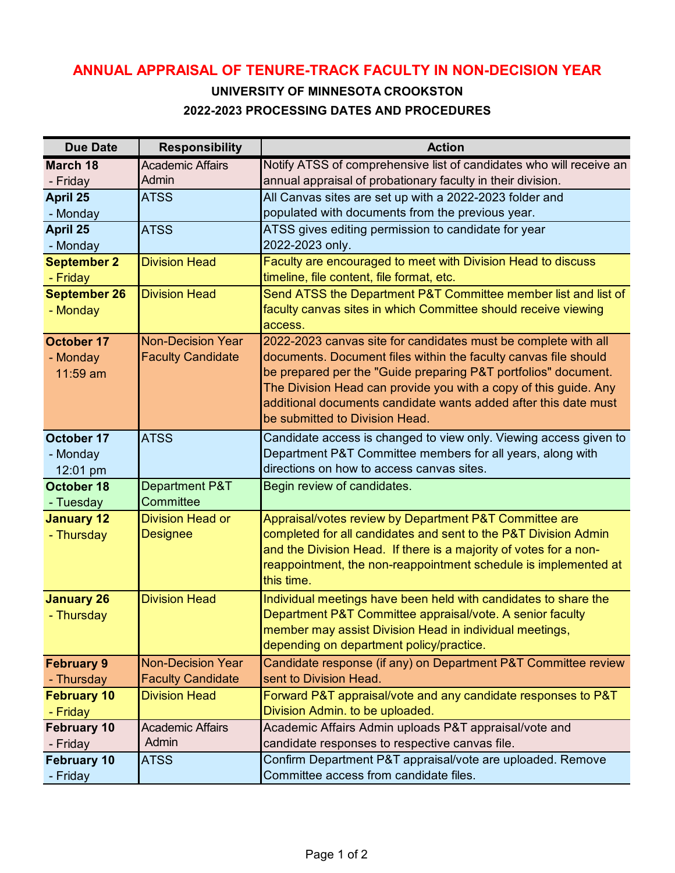## **ANNUAL APPRAISAL OF TENURE-TRACK FACULTY IN NON-DECISION YEAR**

## **UNIVERSITY OF MINNESOTA CROOKSTON 2022-2023 PROCESSING DATES AND PROCEDURES**

| <b>Due Date</b>                | <b>Responsibility</b>       | <b>Action</b>                                                                                                                       |
|--------------------------------|-----------------------------|-------------------------------------------------------------------------------------------------------------------------------------|
| <b>March 18</b>                | <b>Academic Affairs</b>     | Notify ATSS of comprehensive list of candidates who will receive an                                                                 |
| - Friday                       | Admin                       | annual appraisal of probationary faculty in their division.                                                                         |
| April 25                       | <b>ATSS</b>                 | All Canvas sites are set up with a 2022-2023 folder and                                                                             |
| - Monday                       |                             | populated with documents from the previous year.                                                                                    |
| April 25                       | <b>ATSS</b>                 | ATSS gives editing permission to candidate for year                                                                                 |
| - Monday                       |                             | 2022-2023 only.                                                                                                                     |
| <b>September 2</b>             | <b>Division Head</b>        | Faculty are encouraged to meet with Division Head to discuss                                                                        |
| - Friday                       |                             | timeline, file content, file format, etc.                                                                                           |
| <b>September 26</b>            | <b>Division Head</b>        | Send ATSS the Department P&T Committee member list and list of                                                                      |
| - Monday                       |                             | faculty canvas sites in which Committee should receive viewing                                                                      |
|                                |                             | access.                                                                                                                             |
| October 17                     | <b>Non-Decision Year</b>    | 2022-2023 canvas site for candidates must be complete with all                                                                      |
| - Monday                       | <b>Faculty Candidate</b>    | documents. Document files within the faculty canvas file should                                                                     |
| $11:59$ am                     |                             | be prepared per the "Guide preparing P&T portfolios" document.                                                                      |
|                                |                             | The Division Head can provide you with a copy of this guide. Any<br>additional documents candidate wants added after this date must |
|                                |                             | be submitted to Division Head.                                                                                                      |
|                                |                             |                                                                                                                                     |
| October 17                     | <b>ATSS</b>                 | Candidate access is changed to view only. Viewing access given to                                                                   |
| - Monday                       |                             | Department P&T Committee members for all years, along with<br>directions on how to access canvas sites.                             |
| 12:01 pm                       |                             |                                                                                                                                     |
| <b>October 18</b>              | Department P&T<br>Committee | Begin review of candidates.                                                                                                         |
| - Tuesday<br><b>January 12</b> | <b>Division Head or</b>     | Appraisal/votes review by Department P&T Committee are                                                                              |
| - Thursday                     | <b>Designee</b>             | completed for all candidates and sent to the P&T Division Admin                                                                     |
|                                |                             | and the Division Head. If there is a majority of votes for a non-                                                                   |
|                                |                             | reappointment, the non-reappointment schedule is implemented at                                                                     |
|                                |                             | this time.                                                                                                                          |
| <b>January 26</b>              | <b>Division Head</b>        | Individual meetings have been held with candidates to share the                                                                     |
| - Thursday                     |                             | Department P&T Committee appraisal/vote. A senior faculty                                                                           |
|                                |                             | member may assist Division Head in individual meetings,                                                                             |
|                                |                             | depending on department policy/practice.                                                                                            |
| <b>February 9</b>              | <b>Non-Decision Year</b>    | Candidate response (if any) on Department P&T Committee review                                                                      |
| - Thursday                     | <b>Faculty Candidate</b>    | sent to Division Head.                                                                                                              |
| <b>February 10</b>             | <b>Division Head</b>        | Forward P&T appraisal/vote and any candidate responses to P&T                                                                       |
| - Friday                       |                             | Division Admin. to be uploaded.                                                                                                     |
| <b>February 10</b>             | <b>Academic Affairs</b>     | Academic Affairs Admin uploads P&T appraisal/vote and                                                                               |
| - Friday                       | Admin                       | candidate responses to respective canvas file.                                                                                      |
| <b>February 10</b>             | <b>ATSS</b>                 | Confirm Department P&T appraisal/vote are uploaded. Remove                                                                          |
| - Friday                       |                             | Committee access from candidate files.                                                                                              |